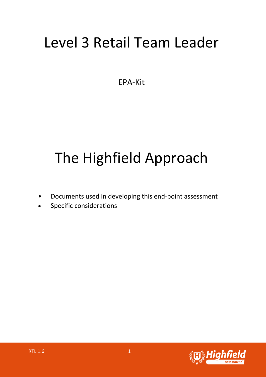## Level 3 Retail Team Leader

EPA-Kit

# The Highfield Approach

- Documents used in developing this end-point assessment
- Specific considerations

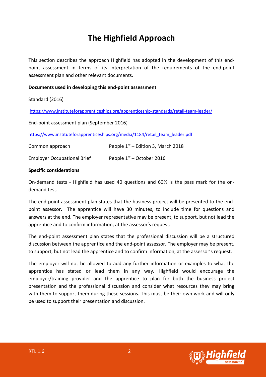### **The Highfield Approach**

This section describes the approach Highfield has adopted in the development of this endpoint assessment in terms of its interpretation of the requirements of the end-point assessment plan and other relevant documents.

#### **Documents used in developing this end-point assessment**

#### Standard (2016)

https://www.instituteforapprenticeships.org/apprenticeship-standards/retail-team-leader/

End-point assessment plan (September 2016)

https://www.instituteforapprenticeships.org/media/1184/retail\_team\_leader.pdf

| Common approach                    | People $1st$ – Edition 3, March 2018 |
|------------------------------------|--------------------------------------|
| <b>Employer Occupational Brief</b> | People $1st$ – October 2016          |

#### **Specific considerations**

On-demand tests - Highfield has used 40 questions and 60% is the pass mark for the ondemand test.

The end-point assessment plan states that the business project will be presented to the endpoint assessor. The apprentice will have 30 minutes, to include time for questions and answers at the end. The employer representative may be present, to support, but not lead the apprentice and to confirm information, at the assessor's request.

The end-point assessment plan states that the professional discussion will be a structured discussion between the apprentice and the end-point assessor. The employer may be present, to support, but not lead the apprentice and to confirm information, at the assessor's request.

The employer will not be allowed to add any further information or examples to what the apprentice has stated or lead them in any way. Highfield would encourage the employer/training provider and the apprentice to plan for both the business project presentation and the professional discussion and consider what resources they may bring with them to support them during these sessions. This must be their own work and will only be used to support their presentation and discussion.